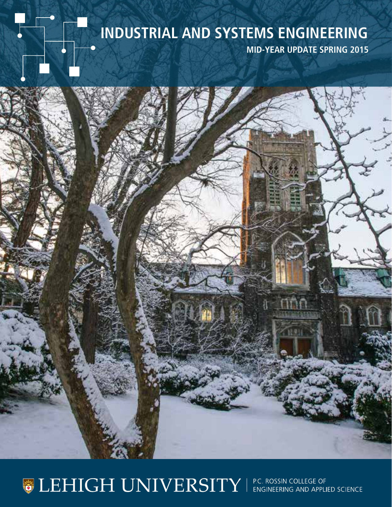# **INDUSTRIAL AND SYSTEMS ENGINEERING**

**MID-YEAR UPDATE SPRING 2015**

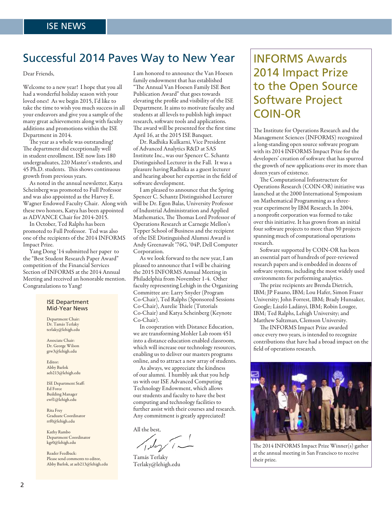### Successful 2014 Paves Way to New Year |INFORMS Awards

Dear Friends,

Welcome to a new year! I hope that you all had a wonderful holiday season with your loved ones! As we begin 2015, I'd like to take the time to wish you much success in all your endeavors and give you a sample of the many great achievements along with faculty additions and promotions within the ISE Department in 2014.

The year as a whole was outstanding! The department did exceptionally well in student enrollment. ISE now lists 180 undergraduates, 220 Master's students, and 45 Ph.D. students. This shows continuous growth from previous years.

As noted in the annual newsletter, Katya Scheinberg was promoted to Full Professor and was also appointed as the Harvey E. Wagner Endowed Faculty Chair. Along with these two honors, Katya has been appointed as ADVANCE Chair for 2014-2015.

In October, Ted Ralphs has been promoted to Full Professor. Ted was also one of the recipients of the 2014 INFORMS Impact Prize.

Yang Dong '14 submitted her paper to the "Best Student Research Paper Award" competition of the Financial Services Section of INFORMS at the 2014 Annual Meeting and received an honorable mention. Congratulations to Yang!

#### ISE Department Mid-Year News

Department Chair: Dr. Tamás Terlaky terlaky@lehigh.edu

Associate Chair: Dr. George Wilson grw3@lehigh.edu

Editor: Abby Barlok aeb213@lehigh.edu

ISE Department Staff: Ed Force Building Manager ewf1@lehigh.edu

Rita Frey Graduate Coordinator rrf0@lehigh.edu

Kathy Rambo Department Coordinator kgr0@lehigh.edu

Reader Feedback: Please send comments to editor, Abby Barlok, at aeb213@lehigh.edu I am honored to announce the Van Hoesen family endowment that has established "The Annual Van Hoesen Family ISE Best Publication Award" that goes towards elevating the profile and visibility of the ISE Department. It aims to motivate faculty and students at all levels to publish high impact research, software tools and applications. The award will be presented for the first time April 16, at the 2015 ISE Banquet.

Dr. Radhika Kulkarni, Vice President of Advanced Analytics R&D at SAS Institute Inc., was our Spencer C. Schantz Distinguished Lecturer in the Fall. It was a pleasure having Radhika as a guest lecturer and hearing about her expertise in the field of software development.

I am pleased to announce that the Spring Spencer C. Schantz Distinguished Lecturer will be Dr. Egon Balas, University Professor of Industrial Administration and Applied Mathematics, The Thomas Lord Professor of Operations Research at Carnegie Mellon's Tepper School of Business and the recipient of the ISE Distinguished Alumni Award is Andy Greenawalt '76G, '04P, Dell Computer Corporation.

As we look forward to the new year, I am pleased to announce that I will be chairing the 2015 INFORMS Annual Meeting in Philadelphia from November 1-4. Other faculty representing Lehigh in the Organizing Committee are: Larry Snyder (Program Co-Chair), Ted Ralphs (Sponsored Sessions Co-Chair), Aurelie Thiele (Tutorials Co-Chair) and Katya Scheinberg (Keynote Co-Chair).

In cooperation with Distance Education, we are transforming Mohler Lab room 451 into a distance education enabled classroom, which will increase our technology resources, enabling us to deliver our masters programs online, and to attract a new array of students.

As always, we appreciate the kindness of our alumni. I humbly ask that you help us with our ISE Advanced Computing Technology Endowment, which allows our students and faculty to have the best computing and technology facilities to further assist with their courses and research. Any commitment is greatly appreciated!

All the best,

Tamás Terlaky Terlaky@lehigh.edu

# 2014 Impact Prize to the Open Source Software Project COIN-OR

The Institute for Operations Research and the Management Sciences (INFORMS) recognized a long-standing open source software program with its 2014 INFORMS Impact Prize for the developers' creation of software that has spurred the growth of new applications over its more than dozen years of existence.

The Computational Infrastructure for Operations Research (COIN-OR) initiative was launched at the 2000 International Symposium on Mathematical Programming as a threeyear experiment by IBM Research. In 2004, a nonprofit corporation was formed to take over this initiative. It has grown from an initial four software projects to more than 50 projects spanning much of computational operations research.

Software supported by COIN-OR has been an essential part of hundreds of peer-reviewed research papers and is embedded in dozens of software systems, including the most widely used environments for performing analytics.

The prize recipients are Brenda Dietrich, IBM; JP Fasano, IBM; Lou Hafer, Simon Fraser University; John Forrest, IBM; Brady Hunsaker, Google; László Ladányi, IBM; Robin Lougee, IBM; Ted Ralphs, Lehigh University; and Matthew Saltzman, Clemson University.

The INFORMS Impact Prize awarded once every two years, is intended to recognize contributions that have had a broad impact on the field of operations research.



The 2014 INFORMS Impact Prize Winner(s) gather at the annual meeting in San Francisco to receive their prize.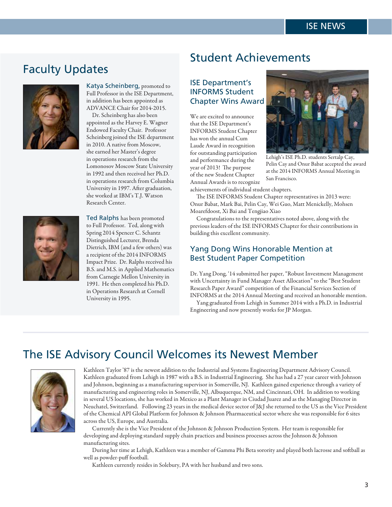### Faculty Updates



Katya Scheinberg, promoted to Full Professor in the ISE Department, in addition has been appointed as ADVANCE Chair for 2014-2015.

Dr. Scheinberg has also been appointed as the Harvey E. Wagner Endowed Faculty Chair. Professor Scheinberg joined the ISE department in 2010. A native from Moscow, she earned her Master's degree in operations research from the Lomonosov Moscow State University in 1992 and then received her Ph.D. in operations research from Columbia University in 1997. After graduation, she worked at IBM's T.J. Watson Research Center.



Ted Ralphs has been promoted to Full Professor. Ted, along with Spring 2014 Spencer C. Schantz Distinguished Lecturer, Brenda Dietrich, IBM (and a few others) was a recipient of the 2014 INFORMS Impact Prize. Dr. Ralphs received his B.S. and M.S. in Applied Mathematics from Carnegie Mellon University in 1991. He then completed his Ph.D. in Operations Research at Cornell University in 1995.

### Student Achievements

### ISE Department's INFORMS Student Chapter Wins Award

We are excited to announce that the ISE Department's INFORMS Student Chapter has won the annual Cum Laude Award in recognition for outstanding participation and performance during the year of 2013! The purpose of the new Student Chapter Annual Awards is to recognize



Lehigh's ISE Ph.D. students Sertalp Cay, Pelin Cay and Onur Babat accepted the award at the 2014 INFORMS Annual Meeting in San Francisco.

achievements of individual student chapters.

The ISE INFORMS Student Chapter representatives in 2013 were: Onur Babat, Mark Bai, Pelin Cay, Wei Guo, Matt Menickelly, Mohsen Moarefdoost, Xi Bai and Tengjiao Xiao

Congratulations to the representatives noted above, along with the previous leaders of the ISE INFORMS Chapter for their contributions in building this excellent community.

#### Yang Dong Wins Honorable Mention at Best Student Paper Competition

Dr. Yang Dong, '14 submitted her paper, "Robust Investment Management with Uncertainty in Fund Manager Asset Allocation" to the "Best Student Research Paper Award" competition of the Financial Services Section of INFORMS at the 2014 Annual Meeting and received an honorable mention.

Yang graduated from Lehigh in Summer 2014 with a Ph.D. in Industrial Engineering and now presently works for JP Morgan.

### The ISE Advisory Council Welcomes its Newest Member



Kathleen Taylor '87 is the newest addition to the Industrial and Systems Engineering Department Advisory Council. Kathleen graduated from Lehigh in 1987 with a B.S. in Industrial Engineering. She has had a 27 year career with Johnson and Johnson, beginning as a manufacturing supervisor in Somerville, NJ. Kathleen gained experience through a variety of manufacturing and engineering roles in Somerville, NJ, Albuquerque, NM, and Cincinnati, OH. In addition to working in several US locations, she has worked in Mexico as a Plant Manager in Ciudad Juarez and as the Managing Director in Neuchatel, Switzerland. Following 23 years in the medical device sector of J&J she returned to the US as the Vice President of the Chemical API Global Platform for Johnson & Johnson Pharmaceutical sector where she was responsible for 6 sites across the US, Europe, and Australia.

Currently she is the Vice President of the Johnson & Johnson Production System. Her team is responsible for developing and deploying standard supply chain practices and business processes across the Johnson & Johnson manufacturing sites.

During her time at Lehigh, Kathleen was a member of Gamma Phi Beta sorority and played both lacrosse and softball as well as powder-puff football.

Kathleen currently resides in Solebury, PA with her husband and two sons.